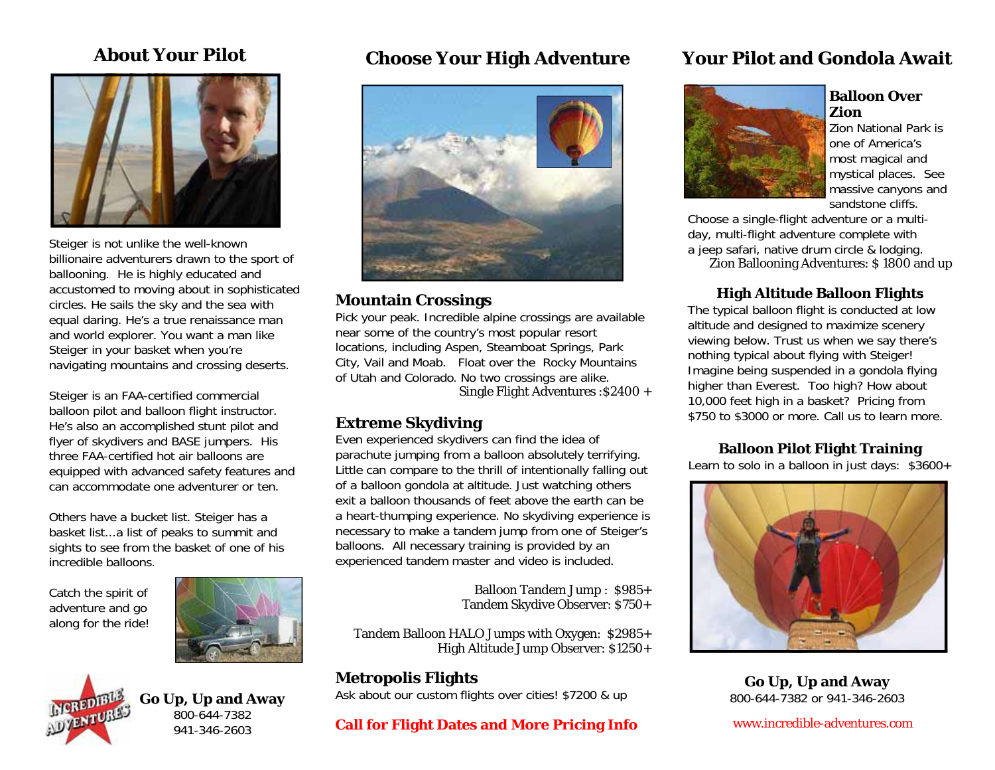

Steiger is not unlike the well-known billionaire adventurers drawn to the sport of ballooning. He is highly educated and accustomed to moving about in sophisticated circles. He sails the sky and the sea with equal daring. He's a true renaissance man and world explorer. You want a man like Steiger in your basket when you're navigating mountains and crossing deserts.

Steiger is an FAA-certified commercial balloon pilot and balloon flight instructor. He's also an accomplished stunt pilot and flyer of skydivers and BASE jumpers. His three FAA-certified hot air balloons are equipped with advanced safety features and can accommodate one adventurer or ten.

Others have a bucket list. Steiger has a basket list...a list of peaks to summit and sights to see from the basket of one of his incredible balloons.

Catch the spirit of adventure and go along for the ride!



## **Go Up, Up and Away**  800-644-7382 941-346-2603

## **About Your Pilot Choose Your High Adventure**



## **Mountain Crossings**

Pick your peak. Incredible alpine crossings are available near some of the country's most popular resort locations, including Aspen, Steamboat Springs, Park City, Vail and Moab. Float over the Rocky Mountains of Utah and Colorado. No two crossings are alike.

Single Flight Adventures :\$2400 +

## **Extreme Skydiving**

Even experienced skydivers can find the idea of parachute jumping from a balloon absolutely terrifying. Little can compare to the thrill of intentionally falling out of a balloon gondola at altitude. Just watching others exit a balloon thousands of feet above the earth can be a heart-thumping experience. No skydiving experience is necessary to make a tandem jump from one of Steiger's balloons. All necessary training is provided by an experienced tandem master and video is included.

> Balloon Tandem Jump : \$985+ Tandem Skydive Observer: \$750+

Tandem Balloon HALO Jumps with Oxygen: \$2985+ High Altitude Jump Observer: \$1250+

## **Metropolis Flights**

Ask about our custom flights over cities! \$7200 & up

## **Call for Flight Dates and More Pricing Info**

## **Your Pilot and Gondola Await**



#### **Balloon Over Zion**

Zion National Park is one of America's most magical and mystical places. See massive canyons and sandstone cliffs.

Choose a single-flight adventure or a multiday, multi-flight adventure complete with a jeep safari, native drum circle & lodging. Zion Ballooning Adventures: \$ 1800 and up

## **High Altitude Balloon Flight<sup>s</sup>**

The typical balloon flight is conducted at low altitude and designed to maximize scenery viewing below. Trust us when we say there's nothing typical about flying with Steiger! Imagine being suspended in a gondola flying higher than Everest. Too high? How about 10,000 feet high in a basket? Pricing from \$750 to \$3000 or more. Call us to learn more.

## **Balloon Pilot Flight Training**

Learn to solo in a balloon in just days:  $$3600+$ 



**Go Up, Up and Away**  800-644-7382 or 941-346-2603

[www.incredible-adventures.com](http://www.incredible-adventures.com)